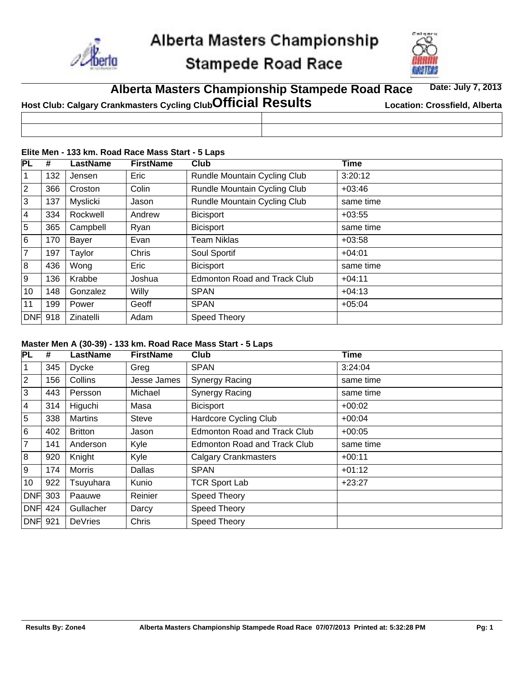

# **Stampede Road Race**



#### **Alberta Masters Championship Stampede Road Race Date: July 7, 2013**

| Host Club: Calgary Crankmasters Cycling Club Official Results | <b>Location: Crossfield, Alberta</b> |
|---------------------------------------------------------------|--------------------------------------|
|                                                               |                                      |
|                                                               |                                      |

#### **Elite Men - 133 km. Road Race Mass Start - 5 Laps**

| <b>PL</b>      | #   | LastName  | <b>FirstName</b> | Club                                | Time      |
|----------------|-----|-----------|------------------|-------------------------------------|-----------|
| $\mathbf{1}$   | 132 | Jensen    | Eric             | Rundle Mountain Cycling Club        | 3:20:12   |
| $\overline{2}$ | 366 | Croston   | Colin            | Rundle Mountain Cycling Club        | $+03:46$  |
| 3              | 137 | Myslicki  | Jason            | Rundle Mountain Cycling Club        | same time |
| 4              | 334 | Rockwell  | Andrew           | <b>Bicisport</b>                    | $+03:55$  |
| 5              | 365 | Campbell  | Ryan             | <b>Bicisport</b>                    | same time |
| 6              | 170 | Bayer     | Evan             | Team Niklas                         | $+03:58$  |
| $\overline{7}$ | 197 | Taylor    | Chris            | Soul Sportif                        | $+04:01$  |
| 8              | 436 | Wong      | Eric             | <b>Bicisport</b>                    | same time |
| Ι9             | 136 | Krabbe    | Joshua           | <b>Edmonton Road and Track Club</b> | $+04:11$  |
| 10             | 148 | Gonzalez  | Willy            | <b>SPAN</b>                         | $+04:13$  |
| 11             | 199 | Power     | Geoff            | <b>SPAN</b>                         | $+05:04$  |
| <b>DNF</b> 918 |     | Zinatelli | Adam             | Speed Theory                        |           |

#### **Master Men A (30-39) - 133 km. Road Race Mass Start - 5 Laps**

| PL             | #   | <b>LastName</b> | <b>FirstName</b> | Club                                | <b>Time</b> |
|----------------|-----|-----------------|------------------|-------------------------------------|-------------|
| 1              | 345 | <b>Dycke</b>    | Greg             | <b>SPAN</b>                         | 3:24:04     |
| $\overline{2}$ | 156 | Collins         | Jesse James      | <b>Synergy Racing</b>               | same time   |
| 3              | 443 | Persson         | Michael          | <b>Synergy Racing</b>               | same time   |
| $\overline{4}$ | 314 | Higuchi         | Masa             | <b>Bicisport</b>                    | $+00:02$    |
| 5              | 338 | <b>Martins</b>  | <b>Steve</b>     | <b>Hardcore Cycling Club</b>        | $+00:04$    |
| 6              | 402 | <b>Britton</b>  | Jason            | <b>Edmonton Road and Track Club</b> | $+00:05$    |
| $\overline{7}$ | 141 | Anderson        | Kyle             | <b>Edmonton Road and Track Club</b> | same time   |
| 8              | 920 | Knight          | Kyle             | <b>Calgary Crankmasters</b>         | $+00:11$    |
| 9              | 174 | <b>Morris</b>   | Dallas           | <b>SPAN</b>                         | $+01:12$    |
| 10             | 922 | Tsuyuhara       | Kunio            | <b>TCR Sport Lab</b>                | $+23:27$    |
| <b>DNF</b>     | 303 | Paauwe          | Reinier          | Speed Theory                        |             |
| <b>DNF</b> 424 |     | Gullacher       | Darcy            | Speed Theory                        |             |
| <b>DNF</b> 921 |     | DeVries         | Chris            | Speed Theory                        |             |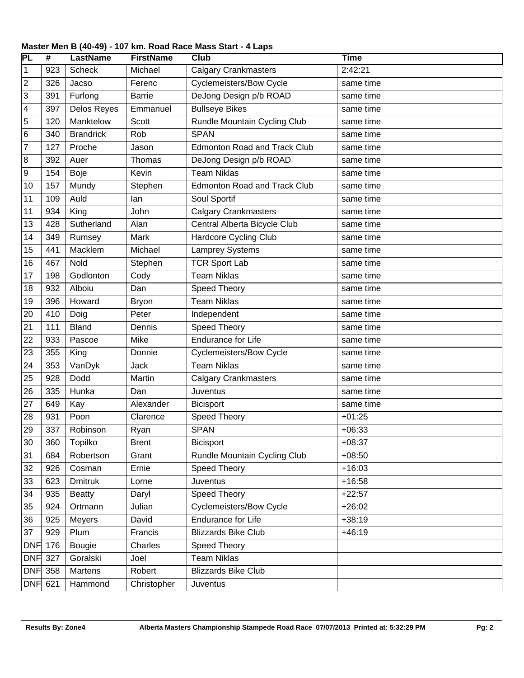| PL         | $\overline{\boldsymbol{t}}$ | <b>LastName</b>    | <b>FirstName</b> | Club                                | <b>Time</b> |
|------------|-----------------------------|--------------------|------------------|-------------------------------------|-------------|
| 1          | 923                         | Scheck             | Michael          | <b>Calgary Crankmasters</b>         | 2:42:21     |
| 2          | 326                         | Jacso              | Ferenc           | <b>Cyclemeisters/Bow Cycle</b>      | same time   |
| 3          | 391                         | Furlong            | <b>Barrie</b>    | DeJong Design p/b ROAD              | same time   |
| 4          | 397                         | <b>Delos Reyes</b> | Emmanuel         | <b>Bullseye Bikes</b>               | same time   |
| 5          | 120                         | Manktelow          | Scott            | Rundle Mountain Cycling Club        | same time   |
| 6          | 340                         | <b>Brandrick</b>   | Rob              | <b>SPAN</b>                         | same time   |
| 7          | 127                         | Proche             | Jason            | <b>Edmonton Road and Track Club</b> | same time   |
| 8          | 392                         | Auer               | Thomas           | DeJong Design p/b ROAD              | same time   |
| 9          | 154                         | Boje               | Kevin            | <b>Team Niklas</b>                  | same time   |
| 10         | 157                         | Mundy              | Stephen          | <b>Edmonton Road and Track Club</b> | same time   |
| 11         | 109                         | Auld               | lan              | Soul Sportif                        | same time   |
| 11         | 934                         | King               | John             | <b>Calgary Crankmasters</b>         | same time   |
| 13         | 428                         | Sutherland         | Alan             | Central Alberta Bicycle Club        | same time   |
| 14         | 349                         | Rumsey             | Mark             | <b>Hardcore Cycling Club</b>        | same time   |
| 15         | 441                         | Macklem            | Michael          | <b>Lamprey Systems</b>              | same time   |
| 16         | 467                         | Nold               | Stephen          | <b>TCR Sport Lab</b>                | same time   |
| 17         | 198                         | Godlonton          | Cody             | <b>Team Niklas</b>                  | same time   |
| 18         | 932                         | Alboiu             | Dan              | <b>Speed Theory</b>                 | same time   |
| 19         | 396                         | Howard             | <b>Bryon</b>     | <b>Team Niklas</b>                  | same time   |
| 20         | 410                         | Doig               | Peter            | Independent                         | same time   |
| 21         | 111                         | <b>Bland</b>       | Dennis           | <b>Speed Theory</b>                 | same time   |
| 22         | 933                         | Pascoe             | Mike             | <b>Endurance for Life</b>           | same time   |
| 23         | 355                         | King               | Donnie           | <b>Cyclemeisters/Bow Cycle</b>      | same time   |
| 24         | 353                         | VanDyk             | Jack             | <b>Team Niklas</b>                  | same time   |
| 25         | 928                         | Dodd               | Martin           | <b>Calgary Crankmasters</b>         | same time   |
| 26         | 335                         | Hunka              | Dan              | Juventus                            | same time   |
| 27         | 649                         | Kay                | Alexander        | <b>Bicisport</b>                    | same time   |
| 28         | 931                         | Poon               | Clarence         | Speed Theory                        | $+01:25$    |
| 29         | 337                         | Robinson           | Ryan             | <b>SPAN</b>                         | $+06:33$    |
| 30         | 360                         | Topilko            | <b>Brent</b>     | <b>Bicisport</b>                    | $+08:37$    |
| 31         | 684                         | Robertson          | Grant            | Rundle Mountain Cycling Club        | $+08:50$    |
| 32         | 926                         | Cosman             | Ernie            | Speed Theory                        | $+16:03$    |
| 33         | 623                         | <b>Dmitruk</b>     | Lorne            | Juventus                            | $+16:58$    |
| 34         | 935                         | <b>Beatty</b>      | Daryl            | Speed Theory                        | $+22:57$    |
| 35         | 924                         | Ortmann            | Julian           | <b>Cyclemeisters/Bow Cycle</b>      | $+26:02$    |
| 36         | 925                         | Meyers             | David            | Endurance for Life                  | $+38:19$    |
| 37         | 929                         | Plum               | Francis          | <b>Blizzards Bike Club</b>          | $+46:19$    |
| <b>DNF</b> | 176                         | Bougie             | Charles          | Speed Theory                        |             |
| <b>DNF</b> | 327                         | Goralski           | Joel             | <b>Team Niklas</b>                  |             |
| <b>DNF</b> | 358                         | Martens            | Robert           | <b>Blizzards Bike Club</b>          |             |
| <b>DNF</b> | 621                         | Hammond            | Christopher      | Juventus                            |             |

#### **Master Men B (40-49) - 107 km. Road Race Mass Start - 4 Laps**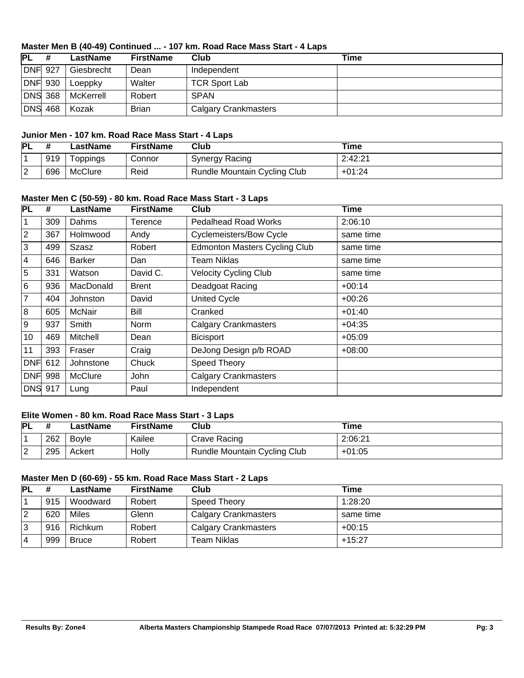#### **Master Men B (40-49) Continued ... - 107 km. Road Race Mass Start - 4 Laps**

| PL             | LastName   | <b>FirstName</b> | Club                        | Time |
|----------------|------------|------------------|-----------------------------|------|
| <b>DNF</b> 927 | Giesbrecht | Dean             | Independent                 |      |
| DNF 930        | Loeppky    | Walter           | <b>TCR Sport Lab</b>        |      |
| <b>DNS</b> 368 | McKerrell  | Robert           | <b>SPAN</b>                 |      |
| <b>DNS 468</b> | Kozak      | <b>Brian</b>     | <b>Calgary Crankmasters</b> |      |

#### **Junior Men - 107 km. Road Race Mass Start - 4 Laps**

| <b>PL</b> |     | LastName        | FirstName | Club                         | ™e       |
|-----------|-----|-----------------|-----------|------------------------------|----------|
|           | 919 | <b>Loppings</b> | Connor    | Synergy Racing               | 2:42:21  |
|           | 696 | <b>McClure</b>  | Reid      | Rundle Mountain Cycling Club | $+01:24$ |

### **Master Men C (50-59) - 80 km. Road Race Mass Start - 3 Laps**

| <b>PL</b>      | #   | LastName       | <b>FirstName</b> | <b>Club</b>                          | <b>Time</b> |
|----------------|-----|----------------|------------------|--------------------------------------|-------------|
| 1              | 309 | Dahms          | Terence          | <b>Pedalhead Road Works</b>          | 2:06:10     |
| $\overline{2}$ | 367 | Holmwood       | Andy             | <b>Cyclemeisters/Bow Cycle</b>       | same time   |
| 3              | 499 | Szasz          | Robert           | <b>Edmonton Masters Cycling Club</b> | same time   |
| 4              | 646 | <b>Barker</b>  | Dan              | <b>Team Niklas</b>                   | same time   |
| 5              | 331 | Watson         | David C.         | <b>Velocity Cycling Club</b>         | same time   |
| 6              | 936 | MacDonald      | <b>Brent</b>     | Deadgoat Racing                      | $+00:14$    |
| 7              | 404 | Johnston       | David            | <b>United Cycle</b>                  | $+00:26$    |
| 8              | 605 | McNair         | Bill             | Cranked                              | $+01:40$    |
| 9              | 937 | Smith          | Norm             | <b>Calgary Crankmasters</b>          | $+04:35$    |
| 10             | 469 | Mitchell       | Dean             | <b>Bicisport</b>                     | $+05:09$    |
| 11             | 393 | Fraser         | Craig            | DeJong Design p/b ROAD               | $+08:00$    |
| <b>DNF</b>     | 612 | Johnstone      | Chuck            | Speed Theory                         |             |
| <b>DNF</b>     | 998 | <b>McClure</b> | John             | <b>Calgary Crankmasters</b>          |             |
| <b>DNS 917</b> |     | Lung           | Paul             | Independent                          |             |

#### **Elite Women - 80 km. Road Race Mass Start - 3 Laps**

| <b>PL</b> |     | _astName     | <b>FirstName</b> | Club                                | Time     |
|-----------|-----|--------------|------------------|-------------------------------------|----------|
|           | 262 | <b>Bovle</b> | Kailee           | Crave Racing                        | 2:06:21  |
| ⌒<br>▵    | 295 | Ackert       | Holly            | <b>Rundle Mountain Cycling Club</b> | $+01:05$ |

#### **Master Men D (60-69) - 55 km. Road Race Mass Start - 2 Laps**

| <b>PL</b> |     | LastName     | <b>FirstName</b> | Club                        | Time      |
|-----------|-----|--------------|------------------|-----------------------------|-----------|
|           | 915 | Woodward     | Robert           | <b>Speed Theory</b>         | 1:28:20   |
| 2         | 620 | Miles        | Glenn            | <b>Calgary Crankmasters</b> | same time |
| 3         | 916 | Richkum      | Robert           | <b>Calgary Crankmasters</b> | $+00:15$  |
| 14        | 999 | <b>Bruce</b> | Robert           | Team Niklas                 | $+15:27$  |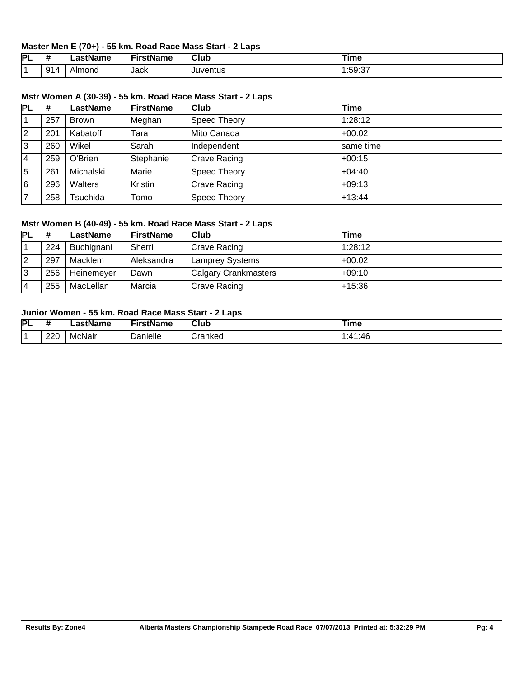#### **Master Men E (70+) - 55 km. Road Race Mass Start - 2 Laps**

| IΡL | 77  | - ---<br>нс | .<br>----<br>ane - | Club              | Time                                       |
|-----|-----|-------------|--------------------|-------------------|--------------------------------------------|
|     | 914 | ∣ond<br>Alr | Jack               | . Ii iver<br>าtus | $\sim$ $-$<br>. . L<br>אר:<br>$\cdot$<br>. |

|    |   |          |           | Mstr Women A (30-39) - 55 km. Road Race Mass Start - 2 Laps |      |
|----|---|----------|-----------|-------------------------------------------------------------|------|
| PL | # | LastName | FirstName | Club                                                        | Time |
|    |   |          |           |                                                             |      |

|   | 257 | <b>Brown</b> | Meghan    | Speed Theory | 1:28:12   |
|---|-----|--------------|-----------|--------------|-----------|
| 2 | 201 | Kabatoff     | Tara      | Mito Canada  | $+00:02$  |
| 3 | 260 | Wikel        | Sarah     | Independent  | same time |
| 4 | 259 | O'Brien      | Stephanie | Crave Racing | $+00:15$  |
| 5 | 261 | Michalski    | Marie     | Speed Theory | $+04:40$  |
| 6 | 296 | Walters      | Kristin   | Crave Racing | $+09:13$  |
|   | 258 | Tsuchida     | Tomo      | Speed Theory | $+13:44$  |

#### **Mstr Women B (40-49) - 55 km. Road Race Mass Start - 2 Laps**

| <b>PL</b> |     | LastName   | <b>FirstName</b> | Club                        | Time     |
|-----------|-----|------------|------------------|-----------------------------|----------|
|           | 224 | Buchignani | Sherri           | Crave Racing                | 1:28:12  |
| 12        | 297 | Macklem    | Aleksandra       | <b>Lamprey Systems</b>      | $+00:02$ |
| 3         | 256 | Heinemeyer | Dawn             | <b>Calgary Crankmasters</b> | $+09:10$ |
| 14        | 255 | MacLellan  | Marcia           | Crave Racing                | +15:36   |

## **Junior Women - 55 km. Road Race Mass Start - 2 Laps**

| PL |     | lame   | <b>TRAINER</b><br> | Club    | ïme |
|----|-----|--------|--------------------|---------|-----|
|    | 220 | McNair | <b>Panielle</b>    | `rankec | :46 |
|    |     |        |                    |         | ۰41 |